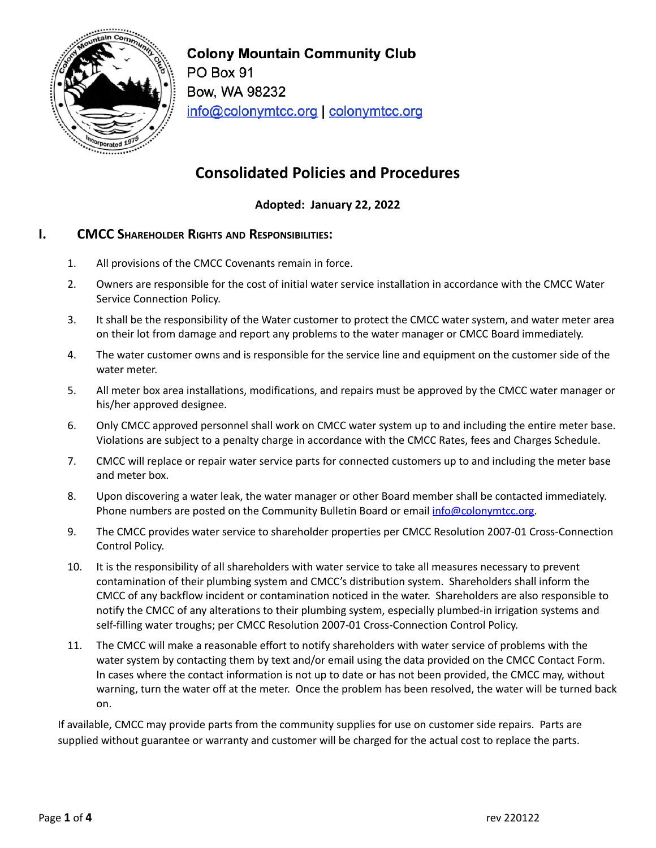

**Colony Mountain Community Club** PO Box 91 Bow, WA 98232 info@colonymtcc.org | colonymtcc.org

# **Consolidated Policies and Procedures**

**Adopted: January 22, 2022**

## **I. CMCC SHAREHOLDER RIGHTS AND RESPONSIBILITIES:**

- 1. All provisions of the CMCC Covenants remain in force.
- 2. Owners are responsible for the cost of initial water service installation in accordance with the CMCC Water Service Connection Policy.
- 3. It shall be the responsibility of the Water customer to protect the CMCC water system, and water meter area on their lot from damage and report any problems to the water manager or CMCC Board immediately.
- 4. The water customer owns and is responsible for the service line and equipment on the customer side of the water meter.
- 5. All meter box area installations, modifications, and repairs must be approved by the CMCC water manager or his/her approved designee.
- 6. Only CMCC approved personnel shall work on CMCC water system up to and including the entire meter base. Violations are subject to a penalty charge in accordance with the CMCC Rates, fees and Charges Schedule.
- 7. CMCC will replace or repair water service parts for connected customers up to and including the meter base and meter box.
- 8. Upon discovering a water leak, the water manager or other Board member shall be contacted immediately. Phone numbers are posted on the Community Bulletin Board or email [info@colonymtcc.org.](mailto:info@colonymtcc.org)
- 9. The CMCC provides water service to shareholder properties per CMCC Resolution 2007-01 Cross-Connection Control Policy.
- 10. It is the responsibility of all shareholders with water service to take all measures necessary to prevent contamination of their plumbing system and CMCC's distribution system. Shareholders shall inform the CMCC of any backflow incident or contamination noticed in the water. Shareholders are also responsible to notify the CMCC of any alterations to their plumbing system, especially plumbed-in irrigation systems and self-filling water troughs; per CMCC Resolution 2007-01 Cross-Connection Control Policy.
- 11. The CMCC will make a reasonable effort to notify shareholders with water service of problems with the water system by contacting them by text and/or email using the data provided on the CMCC Contact Form. In cases where the contact information is not up to date or has not been provided, the CMCC may, without warning, turn the water off at the meter. Once the problem has been resolved, the water will be turned back on.

If available, CMCC may provide parts from the community supplies for use on customer side repairs. Parts are supplied without guarantee or warranty and customer will be charged for the actual cost to replace the parts.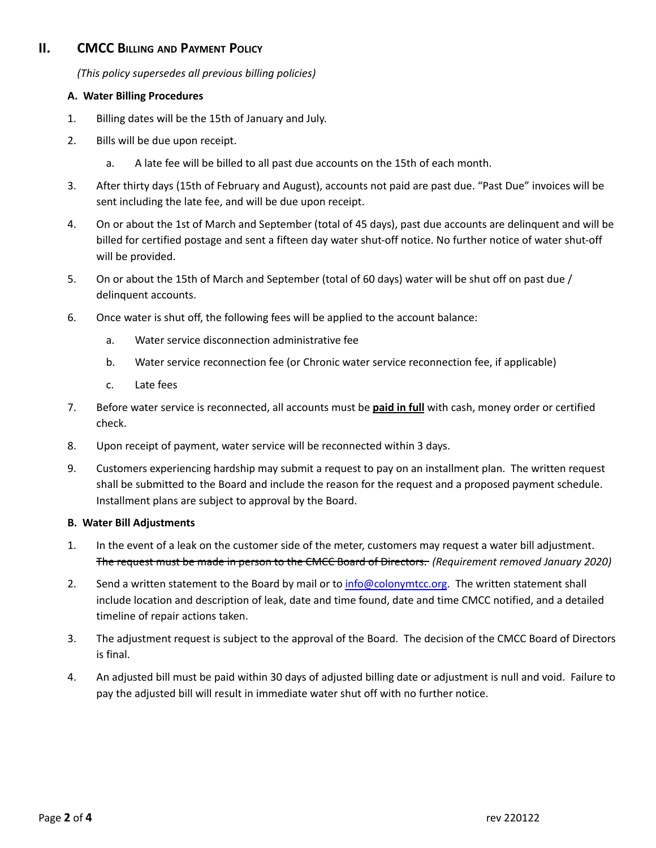## **II. CMCC BILLING AND PAYMENT POLICY**

*(This policy supersedes all previous billing policies)*

#### **A. Water Billing Procedures**

- 1. Billing dates will be the 15th of January and July.
- 2. Bills will be due upon receipt.
	- a. A late fee will be billed to all past due accounts on the 15th of each month.
- 3. After thirty days (15th of February and August), accounts not paid are past due. "Past Due" invoices will be sent including the late fee, and will be due upon receipt.
- 4. On or about the 1st of March and September (total of 45 days), past due accounts are delinquent and will be billed for certified postage and sent a fifteen day water shut-off notice. No further notice of water shut-off will be provided.
- 5. On or about the 15th of March and September (total of 60 days) water will be shut off on past due / delinquent accounts.
- 6. Once water is shut off, the following fees will be applied to the account balance:
	- a. Water service disconnection administrative fee
	- b. Water service reconnection fee (or Chronic water service reconnection fee, if applicable)
	- c. Late fees
- 7. Before water service is reconnected, all accounts must be **paid in full** with cash, money order or certified check.
- 8. Upon receipt of payment, water service will be reconnected within 3 days.
- 9. Customers experiencing hardship may submit a request to pay on an installment plan. The written request shall be submitted to the Board and include the reason for the request and a proposed payment schedule. Installment plans are subject to approval by the Board.

#### **B. Water Bill Adjustments**

- 1. In the event of a leak on the customer side of the meter, customers may request a water bill adjustment. The request must be made in person to the CMCC Board of Directors. *(Requirement removed January 2020)*
- 2. Send a written statement to the Board by mail or to [info@colonymtcc.org](mailto:info@colonymtcc.org). The written statement shall include location and description of leak, date and time found, date and time CMCC notified, and a detailed timeline of repair actions taken.
- 3. The adjustment request is subject to the approval of the Board. The decision of the CMCC Board of Directors is final.
- 4. An adjusted bill must be paid within 30 days of adjusted billing date or adjustment is null and void. Failure to pay the adjusted bill will result in immediate water shut off with no further notice.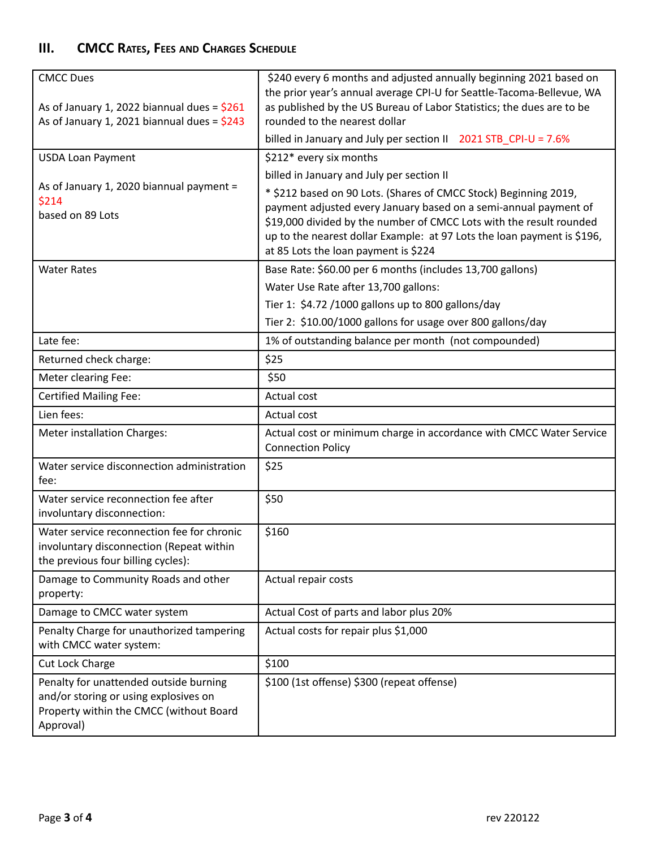## **III. CMCC RATES, FEES AND CHARGES SCHEDULE**

| <b>CMCC Dues</b>                                                                 | \$240 every 6 months and adjusted annually beginning 2021 based on<br>the prior year's annual average CPI-U for Seattle-Tacoma-Bellevue, WA |
|----------------------------------------------------------------------------------|---------------------------------------------------------------------------------------------------------------------------------------------|
| As of January 1, 2022 biannual dues = $$261$                                     | as published by the US Bureau of Labor Statistics; the dues are to be                                                                       |
| As of January 1, 2021 biannual dues = $$243$                                     | rounded to the nearest dollar                                                                                                               |
|                                                                                  | billed in January and July per section II 2021 STB_CPI-U = 7.6%                                                                             |
| <b>USDA Loan Payment</b>                                                         | \$212* every six months                                                                                                                     |
| As of January 1, 2020 biannual payment =                                         | billed in January and July per section II                                                                                                   |
| \$214                                                                            | * \$212 based on 90 Lots. (Shares of CMCC Stock) Beginning 2019,                                                                            |
| based on 89 Lots                                                                 | payment adjusted every January based on a semi-annual payment of<br>\$19,000 divided by the number of CMCC Lots with the result rounded     |
|                                                                                  | up to the nearest dollar Example: at 97 Lots the loan payment is \$196,                                                                     |
|                                                                                  | at 85 Lots the loan payment is \$224                                                                                                        |
| <b>Water Rates</b>                                                               | Base Rate: \$60.00 per 6 months (includes 13,700 gallons)                                                                                   |
|                                                                                  | Water Use Rate after 13,700 gallons:                                                                                                        |
|                                                                                  | Tier 1: \$4.72 /1000 gallons up to 800 gallons/day                                                                                          |
|                                                                                  | Tier 2: \$10.00/1000 gallons for usage over 800 gallons/day                                                                                 |
| Late fee:                                                                        | 1% of outstanding balance per month (not compounded)                                                                                        |
| Returned check charge:                                                           | \$25                                                                                                                                        |
| Meter clearing Fee:                                                              | \$50                                                                                                                                        |
| <b>Certified Mailing Fee:</b>                                                    | Actual cost                                                                                                                                 |
| Lien fees:                                                                       | Actual cost                                                                                                                                 |
| Meter installation Charges:                                                      | Actual cost or minimum charge in accordance with CMCC Water Service<br><b>Connection Policy</b>                                             |
| Water service disconnection administration<br>fee:                               | \$25                                                                                                                                        |
| Water service reconnection fee after<br>involuntary disconnection:               | \$50                                                                                                                                        |
| Water service reconnection fee for chronic                                       | \$160                                                                                                                                       |
| involuntary disconnection (Repeat within                                         |                                                                                                                                             |
| the previous four billing cycles):                                               |                                                                                                                                             |
| Damage to Community Roads and other<br>property:                                 | Actual repair costs                                                                                                                         |
| Damage to CMCC water system                                                      | Actual Cost of parts and labor plus 20%                                                                                                     |
| Penalty Charge for unauthorized tampering<br>with CMCC water system:             | Actual costs for repair plus \$1,000                                                                                                        |
| <b>Cut Lock Charge</b>                                                           | \$100                                                                                                                                       |
| Penalty for unattended outside burning                                           | \$100 (1st offense) \$300 (repeat offense)                                                                                                  |
| and/or storing or using explosives on<br>Property within the CMCC (without Board |                                                                                                                                             |
| Approval)                                                                        |                                                                                                                                             |
|                                                                                  |                                                                                                                                             |